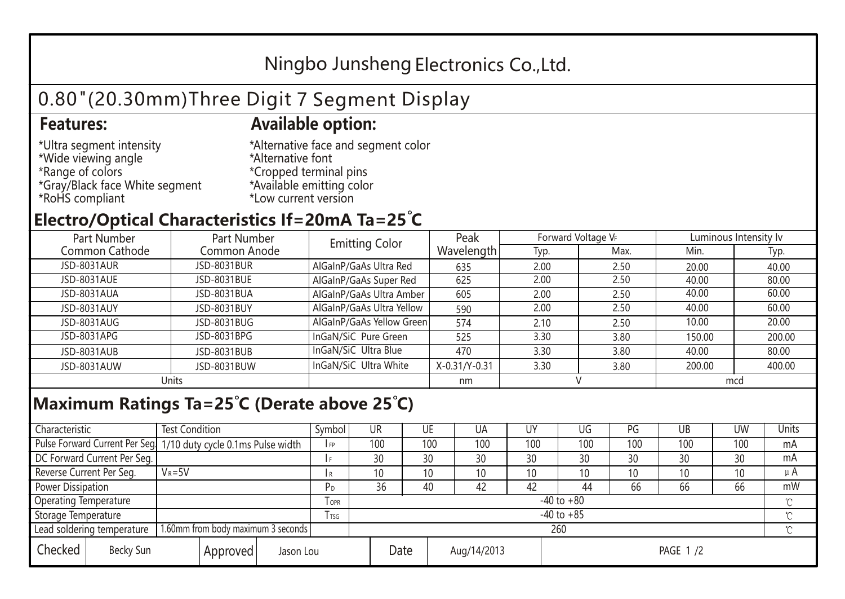## Ningbo Junsheng Electronics Co.,Ltd.

# 0.80"(20.30mm)Three Digit 7 Segment Display

### **Features: Available option:**

- \*Ultra segment intensity \*Wide viewing angle \*Range of colors \*Gray/Black face White segment \*RoHS compliant
- \*Alternative face and segment color \*Alternative font \*Cropped terminal pins \*Available emitting color \*Low current version

### **Electro/Optical Characteristics If=20mA Ta=25 C**

| Part Number<br>Part Number |              | <b>Emitting Color</b>     | Peak          | Forward Voltage VF |      | Luminous Intensity Iv |        |  |
|----------------------------|--------------|---------------------------|---------------|--------------------|------|-----------------------|--------|--|
| Common Cathode             | Common Anode |                           | Wavelength    | Typ.               | Max. | Min.                  | Typ.   |  |
| <b>JSD-8031AUR</b>         | JSD-8031BUR  | AlGaInP/GaAs Ultra Red    | 635           | 2.00               | 2.50 | 20.00                 | 40.00  |  |
| JSD-8031AUE                | JSD-8031BUE  | AlGaInP/GaAs Super Red    | 625           | 2.00               | 2.50 | 40.00                 | 80.00  |  |
| JSD-8031AUA                | JSD-8031BUA  | AlGaInP/GaAs Ultra Amber  | 605           | 2.00               | 2.50 | 40.00                 | 60.00  |  |
| JSD-8031AUY                | JSD-8031BUY  | AlGaInP/GaAs Ultra Yellow | 590           | 2.00               | 2.50 | 40.00                 | 60.00  |  |
| JSD-8031AUG                | JSD-8031BUG  | AlGaInP/GaAs Yellow Green | 574           | 2.10               | 2.50 | 10.00                 | 20.00  |  |
| JSD-8031APG                | JSD-8031BPG  | InGaN/SiC Pure Green      | 525           | 3.30               | 3.80 | 150.00                | 200.00 |  |
| JSD-8031AUB                | JSD-8031BUB  | InGaN/SiC Ultra Blue      | 470           | 3.30               | 3.80 | 40.00                 | 80.00  |  |
| JSD-8031AUW                | JSD-8031BUW  | InGaN/SiC Ultra White     | X-0.31/Y-0.31 | 3.30               | 3.80 | 200.00                | 400.00 |  |
| Units                      |              |                           | nm            |                    |      | mcd                   |        |  |

### **Maximum Ratings Ta=25°C (Derate above 25°C)**

| Characteristic                                |  | <b>Test Condition</b>                                            |                                 |                | Symbol         | UR  |    | UE  | UA  | UY  | UG              | PG  | UB           | <b>UW</b> | Units   |
|-----------------------------------------------|--|------------------------------------------------------------------|---------------------------------|----------------|----------------|-----|----|-----|-----|-----|-----------------|-----|--------------|-----------|---------|
|                                               |  | Pulse Forward Current Per Seg. 1/10 duty cycle 0.1ms Pulse width |                                 |                | IFP            | 100 |    | 100 | 100 | 100 | 100             | 100 | 100          | 100       | mA      |
| DC Forward Current Per Seg.                   |  |                                                                  |                                 | 30             |                | 30  | 30 | 30  | 30  | 30  | 30              | 30  | mA           |           |         |
| Reverse Current Per Seg.                      |  | $V_R = 5V$                                                       |                                 |                | I R            | 10  |    | 10  | 10  | 10  | 10 <sup>°</sup> | 10  | 10           | 10        | $\mu$ A |
| <b>Power Dissipation</b>                      |  |                                                                  |                                 |                | P <sub>D</sub> | 36  |    | 40  | 42  | 42  | 44              | 66  | 66           | 66        | mW      |
| <b>Operating Temperature</b>                  |  |                                                                  | $I$ OPR                         | $-40$ to $+80$ |                |     |    |     |     |     |                 |     | $\gamma$     |           |         |
| Storage Temperature                           |  |                                                                  | I TSG                           | $-40$ to $+85$ |                |     |    |     |     |     |                 |     | $^{\circ}$ C |           |         |
| Lead soldering temperature                    |  | 1.60mm from body maximum 3 seconds                               |                                 |                |                | 260 |    |     |     |     |                 |     |              |           |         |
| Checked<br>Becky Sun<br>Approved<br>Jason Lou |  |                                                                  | Date<br>Aug/14/2013<br>PAGE 1/2 |                |                |     |    |     |     |     |                 |     |              |           |         |